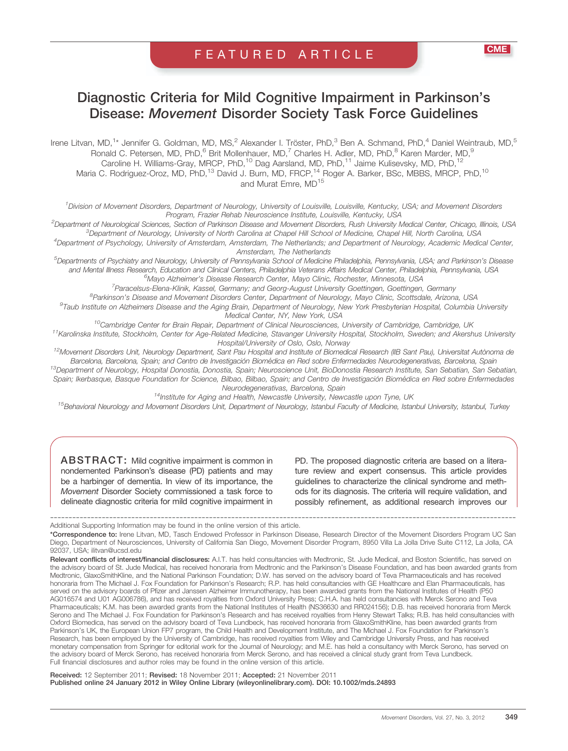

# Diagnostic Criteria for Mild Cognitive Impairment in Parkinson's Disease: Movement Disorder Society Task Force Guidelines

lrene Litvan, MD,<sup>1\*</sup> Jennifer G. Goldman, MD, MS,<sup>2</sup> Alexander I. Tröster, PhD,<sup>3</sup> Ben A. Schmand, PhD,<sup>4</sup> Daniel Weintraub, MD,<sup>5</sup> Ronald C. Petersen, MD, PhD,<sup>6</sup> Brit Mollenhauer, MD,<sup>7</sup> Charles H. Adler, MD, PhD,<sup>8</sup> Karen Marder, MD,<sup>9</sup> Caroline H. Williams-Gray, MRCP, PhD,<sup>10</sup> Dag Aarsland, MD, PhD,<sup>11</sup> Jaime Kulisevsky, MD, PhD,<sup>12</sup> Maria C. Rodriguez-Oroz, MD, PhD,<sup>13</sup> David J. Burn, MD, FRCP,<sup>14</sup> Roger A. Barker, BSc, MBBS, MRCP, PhD,<sup>10</sup> and Murat Emre, MD<sup>15</sup>

<sup>1</sup> Division of Movement Disorders, Department of Neurology, University of Louisville, Louisville, Kentucky, USA; and Movement Disorders

Program, Frazier Rehab Neuroscience Institute, Louisville, Kentucky, USA<br><sup>2</sup>Department of Neurological Sciences, Section of Parkinson Disease and Movement Disorders, Rush University Medical Center, Chicago, Illinois, USA 3 Department of Neurology, University of North Carolina at Chapel Hill School of Medicine, Chapel Hill, North Carolina, USA

4 Department of Psychology, University of Amsterdam, Amsterdam, The Netherlands; and Department of Neurology, Academic Medical Center,

Amsterdam, The Netherlands<br><sup>5</sup>Departments of Psychiatry and Neurology, University of Pennsylvania School of Medicine Philadelphia, Pennsylvania, USA; and Parkinson's Disease and Mental Illness Research, Education and Clinical Centers, Philadelphia Veterans Affairs Medical Center, Philadelphia, Pennsylvania, USA <sup>6</sup> <sup>6</sup>Mayo Alzheimer's Disease Research Center, Mayo Clinic, Rochester, Minnesota, USA

<sup>7</sup> Paracelsus-Elena-Klinik, Kassel, Germany; and Georg-August University Goettingen, Goettingen, Germany

<sup>8</sup>Parkinson's Disease and Movement Disorders Center, Department of Neurology, Mayo Clinic, Scottsdale, Arizona, USA

<sup>9</sup>Taub Institute on Alzheimers Disease and the Aging Brain, Department of Neurology, New York Presbyterian Hospital, Columbia University

Medical Center, NY, New York, USA<br><sup>10</sup>Cambridge Center for Brain Repair, Department of Clinical Neurosciences, University of Cambridge, Cambridge, UK<br>Hospital/University of Oslo, Norway Hospital, Stockholm, Sweden; and Ake

<sup>12</sup>Movement Disorders Unit, Neurology Department, Sant Pau Hospital and Institute of Biomedical Research (IIB Sant Pau), Universitat Autònoma de<br>Barcelona, Barcelona, Spain; and Centro de Investigación Biomédica en Red so

<sup>13</sup>Department of Neurology, Hospital Donostia, Donostia, Spain; Neuroscience Unit, BioDonostia Research Institute, San Sebatian, San Sebatian, Spain; Ikerbasque, Basque Foundation for Science, Bilbao, Bilbao, Spain; and Centro de Investigación Biomédica en Red sobre Enfermedades

Neurodegenerativas, Barcelona, Spain 14Institute for Aging and Health, Newcastle University, Newcastle upon Tyne, UK

<sup>15</sup>Behavioral Neurology and Movement Disorders Unit, Department of Neurology, Istanbul Faculty of Medicine, Istanbul University, Istanbul, Turkey

ABSTRACT: Mild cognitive impairment is common in nondemented Parkinson's disease (PD) patients and may be a harbinger of dementia. In view of its importance, the Movement Disorder Society commissioned a task force to delineate diagnostic criteria for mild cognitive impairment in PD. The proposed diagnostic criteria are based on a literature review and expert consensus. This article provides guidelines to characterize the clinical syndrome and methods for its diagnosis. The criteria will require validation, and possibly refinement, as additional research improves our

------------------------------------------------------------------------------------------------------------------------------ Additional Supporting Information may be found in the online version of this article.

\*Correspondence to: Irene Litvan, MD, Tasch Endowed Professor in Parkinson Disease, Research Director of the Movement Disorders Program UC San Diego, Department of Neurosciences, University of California San Diego, Movement Disorder Program, 8950 Villa La Jolla Drive Suite C112, La Jolla, CA 92037, USA; ilitvan@ucsd.edu

Relevant conflicts of interest/financial disclosures: A.I.T. has held consultancies with Medtronic, St. Jude Medical, and Boston Scientific, has served on the advisory board of St. Jude Medical, has received honoraria from Medtronic and the Parkinson's Disease Foundation, and has been awarded grants from Medtronic, GlaxoSmithKline, and the National Parkinson Foundation; D.W. has served on the advisory board of Teva Pharmaceuticals and has received honoraria from The Michael J. Fox Foundation for Parkinson's Research; R.P. has held consultancies with GE Healthcare and Elan Pharmaceuticals, has served on the advisory boards of Pfizer and Janssen Alzheimer Immunotherapy, has been awarded grants from the National Institutes of Health (P50 AG016574 and U01 AG006786), and has received royalties from Oxford University Press; C.H.A. has held consultancies with Merck Serono and Teva Pharmaceuticals; K.M. has been awarded grants from the National Institutes of Health (NS36630 and RR024156); D.B. has received honoraria from Merck Serono and The Michael J. Fox Foundation for Parkinson's Research and has received royalties from Henry Stewart Talks; R.B. has held consultancies with Oxford Biomedica, has served on the advisory board of Teva Lundbeck, has received honoraria from GlaxoSmithKline, has been awarded grants from Parkinson's UK, the European Union FP7 program, the Child Health and Development Institute, and The Michael J. Fox Foundation for Parkinson's Research, has been employed by the University of Cambridge, has received royalties from Wiley and Cambridge University Press, and has received monetary compensation from Springer for editorial work for the Journal of Neurology; and M.E. has held a consultancy with Merck Serono, has served on the advisory board of Merck Serono, has received honoraria from Merck Serono, and has received a clinical study grant from Teva Lundbeck. Full financial disclosures and author roles may be found in the online version of this article.

Received: 12 September 2011; Revised: 18 November 2011; Accepted: 21 November 2011 Published online 24 January 2012 in Wiley Online Library (wileyonlinelibrary.com). DOI: 10.1002/mds.24893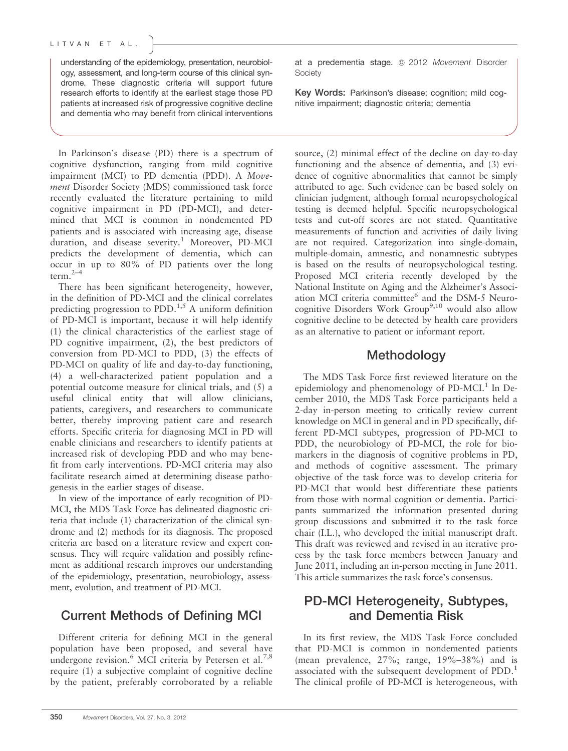understanding of the epidemiology, presentation, neurobiology, assessment, and long-term course of this clinical syndrome. These diagnostic criteria will support future research efforts to identify at the earliest stage those PD patients at increased risk of progressive cognitive decline and dementia who may benefit from clinical interventions

In Parkinson's disease (PD) there is a spectrum of cognitive dysfunction, ranging from mild cognitive impairment (MCI) to PD dementia (PDD). A Movement Disorder Society (MDS) commissioned task force recently evaluated the literature pertaining to mild cognitive impairment in PD (PD-MCI), and determined that MCI is common in nondemented PD patients and is associated with increasing age, disease duration, and disease severity.<sup>1</sup> Moreover, PD-MCI predicts the development of dementia, which can occur in up to 80% of PD patients over the long term. $2-\overline{4}$ 

There has been significant heterogeneity, however, in the definition of PD-MCI and the clinical correlates predicting progression to  $PDD<sup>1,5</sup>$  A uniform definition of PD-MCI is important, because it will help identify (1) the clinical characteristics of the earliest stage of PD cognitive impairment, (2), the best predictors of conversion from PD-MCI to PDD, (3) the effects of PD-MCI on quality of life and day-to-day functioning, (4) a well-characterized patient population and a potential outcome measure for clinical trials, and (5) a useful clinical entity that will allow clinicians, patients, caregivers, and researchers to communicate better, thereby improving patient care and research efforts. Specific criteria for diagnosing MCI in PD will enable clinicians and researchers to identify patients at increased risk of developing PDD and who may benefit from early interventions. PD-MCI criteria may also facilitate research aimed at determining disease pathogenesis in the earlier stages of disease.

In view of the importance of early recognition of PD-MCI, the MDS Task Force has delineated diagnostic criteria that include (1) characterization of the clinical syndrome and (2) methods for its diagnosis. The proposed criteria are based on a literature review and expert consensus. They will require validation and possibly refinement as additional research improves our understanding of the epidemiology, presentation, neurobiology, assessment, evolution, and treatment of PD-MCI.

# Current Methods of Defining MCI

Different criteria for defining MCI in the general population have been proposed, and several have undergone revision.<sup>6</sup> MCI criteria by Petersen et al.<sup>7,8</sup> require (1) a subjective complaint of cognitive decline by the patient, preferably corroborated by a reliable at a predementia stage. © 2012 Movement Disorder **Society** 

Key Words: Parkinson's disease; cognition; mild cognitive impairment; diagnostic criteria; dementia

source, (2) minimal effect of the decline on day-to-day functioning and the absence of dementia, and (3) evidence of cognitive abnormalities that cannot be simply attributed to age. Such evidence can be based solely on clinician judgment, although formal neuropsychological testing is deemed helpful. Specific neuropsychological tests and cut-off scores are not stated. Quantitative measurements of function and activities of daily living are not required. Categorization into single-domain, multiple-domain, amnestic, and nonamnestic subtypes is based on the results of neuropsychological testing. Proposed MCI criteria recently developed by the National Institute on Aging and the Alzheimer's Association MCI criteria committee<sup>6</sup> and the DSM-5 Neurocognitive Disorders Work Group<sup>9,10</sup> would also allow cognitive decline to be detected by health care providers as an alternative to patient or informant report.

# **Methodology**

The MDS Task Force first reviewed literature on the epidemiology and phenomenology of PD-MCI.<sup>1</sup> In December 2010, the MDS Task Force participants held a 2-day in-person meeting to critically review current knowledge on MCI in general and in PD specifically, different PD-MCI subtypes, progression of PD-MCI to PDD, the neurobiology of PD-MCI, the role for biomarkers in the diagnosis of cognitive problems in PD, and methods of cognitive assessment. The primary objective of the task force was to develop criteria for PD-MCI that would best differentiate these patients from those with normal cognition or dementia. Participants summarized the information presented during group discussions and submitted it to the task force chair (I.L.), who developed the initial manuscript draft. This draft was reviewed and revised in an iterative process by the task force members between January and June 2011, including an in-person meeting in June 2011. This article summarizes the task force's consensus.

# PD-MCI Heterogeneity, Subtypes, and Dementia Risk

In its first review, the MDS Task Force concluded that PD-MCI is common in nondemented patients (mean prevalence, 27%; range, 19%–38%) and is associated with the subsequent development of PDD.<sup>1</sup> The clinical profile of PD-MCI is heterogeneous, with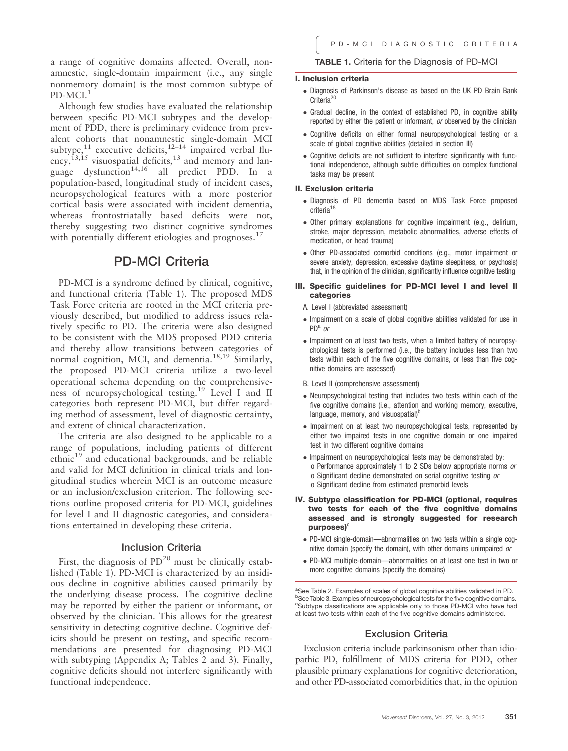a range of cognitive domains affected. Overall, nonamnestic, single-domain impairment (i.e., any single nonmemory domain) is the most common subtype of PD-MCI.<sup>1</sup>

Although few studies have evaluated the relationship between specific PD-MCI subtypes and the development of PDD, there is preliminary evidence from prevalent cohorts that nonamnestic single-domain MCI subtype, $^{11}$  executive deficits, $^{12-14}$  impaired verbal fluency,  $^{13,15}$  visuospatial deficits,  $^{13}$  and memory and language dysfunction<sup>14,16</sup> all predict PDD. In a population-based, longitudinal study of incident cases, neuropsychological features with a more posterior cortical basis were associated with incident dementia, whereas frontostriatally based deficits were not, thereby suggesting two distinct cognitive syndromes with potentially different etiologies and prognoses.<sup>17</sup>

## PD-MCI Criteria

PD-MCI is a syndrome defined by clinical, cognitive, and functional criteria (Table 1). The proposed MDS Task Force criteria are rooted in the MCI criteria previously described, but modified to address issues relatively specific to PD. The criteria were also designed to be consistent with the MDS proposed PDD criteria and thereby allow transitions between categories of normal cognition, MCI, and dementia.<sup>18,19</sup> Similarly, the proposed PD-MCI criteria utilize a two-level operational schema depending on the comprehensiveness of neuropsychological testing.<sup>19</sup> Level I and II categories both represent PD-MCI, but differ regarding method of assessment, level of diagnostic certainty, and extent of clinical characterization.

The criteria are also designed to be applicable to a range of populations, including patients of different ethnic $19$  and educational backgrounds, and be reliable and valid for MCI definition in clinical trials and longitudinal studies wherein MCI is an outcome measure or an inclusion/exclusion criterion. The following sections outline proposed criteria for PD-MCI, guidelines for level I and II diagnostic categories, and considerations entertained in developing these criteria.

#### Inclusion Criteria

First, the diagnosis of  $PD^{20}$  must be clinically established (Table 1). PD-MCI is characterized by an insidious decline in cognitive abilities caused primarily by the underlying disease process. The cognitive decline may be reported by either the patient or informant, or observed by the clinician. This allows for the greatest sensitivity in detecting cognitive decline. Cognitive deficits should be present on testing, and specific recommendations are presented for diagnosing PD-MCI with subtyping (Appendix A; Tables 2 and 3). Finally, cognitive deficits should not interfere significantly with functional independence.

#### TABLE 1. Criteria for the Diagnosis of PD-MCI

#### I. Inclusion criteria

- Diagnosis of Parkinson's disease as based on the UK PD Brain Bank Criteria<sup>20</sup>
- Gradual decline, in the context of established PD, in cognitive ability reported by either the patient or informant, or observed by the clinician
- Cognitive deficits on either formal neuropsychological testing or a scale of global cognitive abilities (detailed in section III)
- Cognitive deficits are not sufficient to interfere significantly with functional independence, although subtle difficulties on complex functional tasks may be present

#### II. Exclusion criteria

- Diagnosis of PD dementia based on MDS Task Force proposed criteria<sup>18</sup>
- Other primary explanations for cognitive impairment (e.g., delirium, stroke, major depression, metabolic abnormalities, adverse effects of medication, or head trauma)
- Other PD-associated comorbid conditions (e.g., motor impairment or severe anxiety, depression, excessive daytime sleepiness, or psychosis) that, in the opinion of the clinician, significantly influence cognitive testing
- III. Specific guidelines for PD-MCI level I and level II categories
	- A. Level I (abbreviated assessment)
	- Impairment on a scale of global cognitive abilities validated for use in  $PD<sup>a</sup>$  or
	- Impairment on at least two tests, when a limited battery of neuropsychological tests is performed (i.e., the battery includes less than two tests within each of the five cognitive domains, or less than five cognitive domains are assessed)
	- B. Level II (comprehensive assessment)
	- Neuropsychological testing that includes two tests within each of the five cognitive domains (i.e., attention and working memory, executive, language, memory, and visuospatial) $<sup>b</sup>$ </sup>
	- Impairment on at least two neuropsychological tests, represented by either two impaired tests in one cognitive domain or one impaired test in two different cognitive domains
	- Impairment on neuropsychological tests may be demonstrated by: o Performance approximately 1 to 2 SDs below appropriate norms or
		- o Significant decline demonstrated on serial cognitive testing or
		- o Significant decline from estimated premorbid levels
- IV. Subtype classification for PD-MCI (optional, requires two tests for each of the five cognitive domains assessed and is strongly suggested for research purposes $)^{\circ}$ 
	- PD-MCI single-domain—abnormalities on two tests within a single cognitive domain (specify the domain), with other domains unimpaired or
	- PD-MCI multiple-domain—abnormalities on at least one test in two or more cognitive domains (specify the domains)

<sup>a</sup>See Table 2. Examples of scales of global cognitive abilities validated in PD. <sup>b</sup>See Table 3. Examples of neuropsychological tests for the five cognitive domains. <sup>c</sup>Subtype classifications are applicable only to those PD-MCI who have had at least two tests within each of the five cognitive domains administered.

#### Exclusion Criteria

Exclusion criteria include parkinsonism other than idiopathic PD, fulfillment of MDS criteria for PDD, other plausible primary explanations for cognitive deterioration, and other PD-associated comorbidities that, in the opinion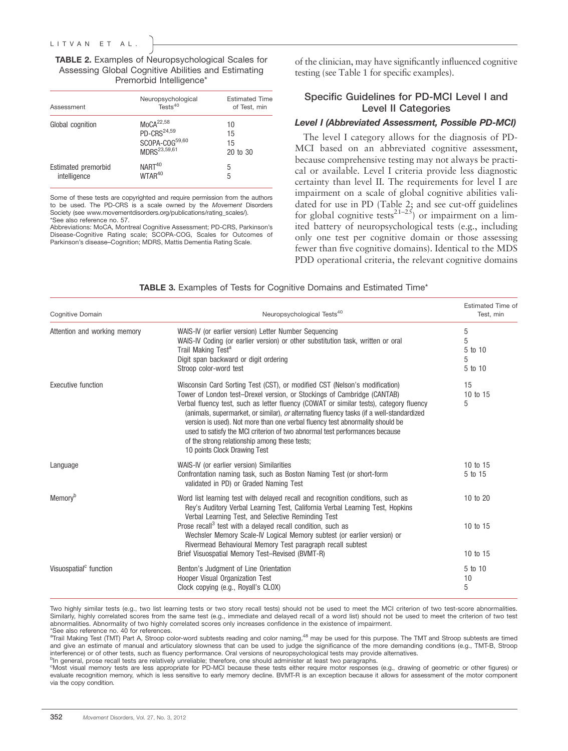| <b>TABLE 2.</b> Examples of Neuropsychological Scales for |
|-----------------------------------------------------------|
| Assessing Global Cognitive Abilities and Estimating       |
| Premorbid Intelligence*                                   |

| Assessment                          | Neuropsychological<br>Tests <sup>40</sup>                                               | <b>Estimated Time</b><br>of Test, min |
|-------------------------------------|-----------------------------------------------------------------------------------------|---------------------------------------|
| Global cognition                    | $MOCA^{22,58}$<br>PD-CRS <sup>24,59</sup><br>SCOPA-COG59,60<br>MDRS <sup>23,59,61</sup> | 10<br>15<br>15<br>20 to 30            |
| Estimated premorbid<br>intelligence | NART <sup>40</sup><br>WTAR <sup>40</sup>                                                | 5<br>5                                |

Some of these tests are copyrighted and require permission from the authors to be used. The PD-CRS is a scale owned by the Movement Disorders Society (see www.movementdisorders.org/publications/rating\_scales/). \*See also reference no. 57.

Abbreviations: MoCA, Montreal Cognitive Assessment; PD-CRS, Parkinson's Disease-Cognitive Rating scale; SCOPA-COG, Scales for Outcomes of Parkinson's disease–Cognition; MDRS, Mattis Dementia Rating Scale.

of the clinician, may have significantly influenced cognitive testing (see Table 1 for specific examples).

## Specific Guidelines for PD-MCI Level I and Level II Categories

#### Level I (Abbreviated Assessment, Possible PD-MCI)

The level I category allows for the diagnosis of PD-MCI based on an abbreviated cognitive assessment, because comprehensive testing may not always be practical or available. Level I criteria provide less diagnostic certainty than level II. The requirements for level I are impairment on a scale of global cognitive abilities validated for use in PD (Table 2; and see cut-off guidelines for global cognitive tests<sup>21–25</sup>) or impairment on a limited battery of neuropsychological tests (e.g., including only one test per cognitive domain or those assessing fewer than five cognitive domains). Identical to the MDS PDD operational criteria, the relevant cognitive domains

| Cognitive Domain                   | Neuropsychological Tests <sup>40</sup>                                                                                                                                                                                                                                                                                                                                                                                                                                                                                                                                                       | <b>Estimated Time of</b><br>Test, min |
|------------------------------------|----------------------------------------------------------------------------------------------------------------------------------------------------------------------------------------------------------------------------------------------------------------------------------------------------------------------------------------------------------------------------------------------------------------------------------------------------------------------------------------------------------------------------------------------------------------------------------------------|---------------------------------------|
| Attention and working memory       | WAIS-IV (or earlier version) Letter Number Sequencing<br>WAIS-IV Coding (or earlier version) or other substitution task, written or oral<br>Trail Making Test <sup>a</sup><br>Digit span backward or digit ordering<br>Stroop color-word test                                                                                                                                                                                                                                                                                                                                                | 5<br>5<br>5 to 10<br>5<br>5 to 10     |
| Executive function                 | Wisconsin Card Sorting Test (CST), or modified CST (Nelson's modification)<br>Tower of London test-Drexel version, or Stockings of Cambridge (CANTAB)<br>Verbal fluency test, such as letter fluency (COWAT or similar tests), category fluency<br>(animals, supermarket, or similar), or alternating fluency tasks (if a well-standardized<br>version is used). Not more than one verbal fluency test abnormality should be<br>used to satisfy the MCI criterion of two abnormal test performances because<br>of the strong relationship among these tests;<br>10 points Clock Drawing Test | 15<br>10 to 15<br>5                   |
| Language                           | WAIS-IV (or earlier version) Similarities<br>Confrontation naming task, such as Boston Naming Test (or short-form<br>validated in PD) or Graded Naming Test                                                                                                                                                                                                                                                                                                                                                                                                                                  | 10 to 15<br>5 to 15                   |
| Memory <sup>b</sup>                | Word list learning test with delayed recall and recognition conditions, such as<br>Rey's Auditory Verbal Learning Test, California Verbal Learning Test, Hopkins<br>Verbal Learning Test, and Selective Reminding Test<br>Prose recall <sup>3</sup> test with a delayed recall condition, such as<br>Wechsler Memory Scale-IV Logical Memory subtest (or earlier version) or<br>Rivermead Behavioural Memory Test paragraph recall subtest<br>Brief Visuospatial Memory Test-Revised (BVMT-R)                                                                                                | 10 to 20<br>10 to 15<br>10 to 15      |
| Visuospatial <sup>c</sup> function | Benton's Judgment of Line Orientation<br>Hooper Visual Organization Test<br>Clock copying (e.g., Royall's CLOX)                                                                                                                                                                                                                                                                                                                                                                                                                                                                              | 5 to 10<br>10<br>5                    |

#### TABLE 3. Examples of Tests for Cognitive Domains and Estimated Time\*

Two highly similar tests (e.g., two list learning tests or two story recall tests) should not be used to meet the MCI criterion of two test-score abnormalities. Similarly, highly correlated scores from the same test (e.g., immediate and delayed recall of a word list) should not be used to meet the criterion of two test abnormalities. Abnormality of two highly correlated scores only increases confidence in the existence of impairment.

See also reference no. 40 for references.

<sup>a</sup>Trail Making Test (TMT) Part A, Stroop color-word subtests reading and color naming,<sup>48</sup> may be used for this purpose. The TMT and Stroop subtests are timed and give an estimate of manual and articulatory slowness that can be used to judge the significance of the more demanding conditions (e.g., TMT-B, Stroop interference) or of other tests, such as fluency performance. Oral versions of neuropsychological tests may provide alternatives.

<sup>b</sup>In general, prose recall tests are relatively unreliable; therefore, one should administer at least two paragraphs.

c Most visual memory tests are less appropriate for PD-MCI because these tests either require motor responses (e.g., drawing of geometric or other figures) or evaluate recognition memory, which is less sensitive to early memory decline. BVMT-R is an exception because it allows for assessment of the motor component via the copy condition.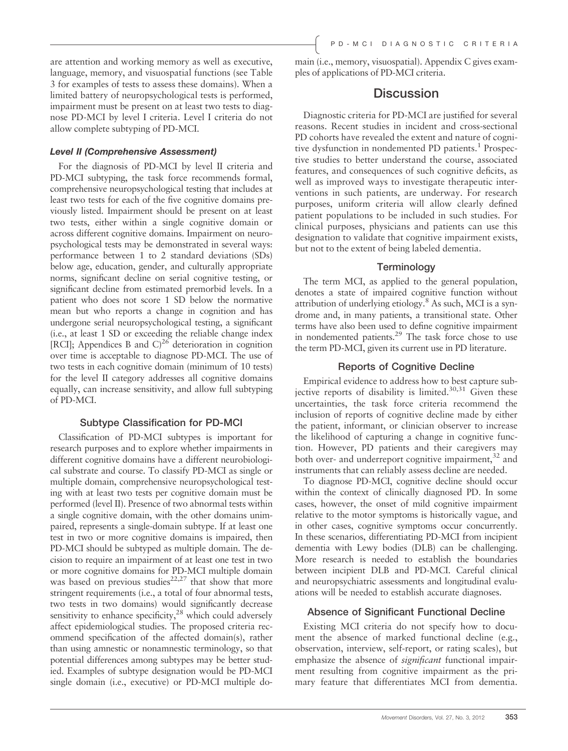are attention and working memory as well as executive, language, memory, and visuospatial functions (see Table 3 for examples of tests to assess these domains). When a limited battery of neuropsychological tests is performed, impairment must be present on at least two tests to diagnose PD-MCI by level I criteria. Level I criteria do not allow complete subtyping of PD-MCI.

#### Level II (Comprehensive Assessment)

For the diagnosis of PD-MCI by level II criteria and PD-MCI subtyping, the task force recommends formal, comprehensive neuropsychological testing that includes at least two tests for each of the five cognitive domains previously listed. Impairment should be present on at least two tests, either within a single cognitive domain or across different cognitive domains. Impairment on neuropsychological tests may be demonstrated in several ways: performance between 1 to 2 standard deviations (SDs) below age, education, gender, and culturally appropriate norms, significant decline on serial cognitive testing, or significant decline from estimated premorbid levels. In a patient who does not score 1 SD below the normative mean but who reports a change in cognition and has undergone serial neuropsychological testing, a significant (i.e., at least 1 SD or exceeding the reliable change index [RCI]; Appendices B and  $C$ <sup>26</sup> deterioration in cognition over time is acceptable to diagnose PD-MCI. The use of two tests in each cognitive domain (minimum of 10 tests) for the level II category addresses all cognitive domains equally, can increase sensitivity, and allow full subtyping of PD-MCI.

## Subtype Classification for PD-MCI

Classification of PD-MCI subtypes is important for research purposes and to explore whether impairments in different cognitive domains have a different neurobiological substrate and course. To classify PD-MCI as single or multiple domain, comprehensive neuropsychological testing with at least two tests per cognitive domain must be performed (level II). Presence of two abnormal tests within a single cognitive domain, with the other domains unimpaired, represents a single-domain subtype. If at least one test in two or more cognitive domains is impaired, then PD-MCI should be subtyped as multiple domain. The decision to require an impairment of at least one test in two or more cognitive domains for PD-MCI multiple domain was based on previous studies $22,27$  that show that more stringent requirements (i.e., a total of four abnormal tests, two tests in two domains) would significantly decrease sensitivity to enhance specificity,<sup>28</sup> which could adversely affect epidemiological studies. The proposed criteria recommend specification of the affected domain(s), rather than using amnestic or nonamnestic terminology, so that potential differences among subtypes may be better studied. Examples of subtype designation would be PD-MCI single domain (i.e., executive) or PD-MCI multiple domain (i.e., memory, visuospatial). Appendix C gives examples of applications of PD-MCI criteria.

# **Discussion**

Diagnostic criteria for PD-MCI are justified for several reasons. Recent studies in incident and cross-sectional PD cohorts have revealed the extent and nature of cognitive dysfunction in nondemented PD patients.<sup>1</sup> Prospective studies to better understand the course, associated features, and consequences of such cognitive deficits, as well as improved ways to investigate therapeutic interventions in such patients, are underway. For research purposes, uniform criteria will allow clearly defined patient populations to be included in such studies. For clinical purposes, physicians and patients can use this designation to validate that cognitive impairment exists, but not to the extent of being labeled dementia.

## **Terminology**

The term MCI, as applied to the general population, denotes a state of impaired cognitive function without attribution of underlying etiology. $8$  As such, MCI is a syndrome and, in many patients, a transitional state. Other terms have also been used to define cognitive impairment in nondemented patients.<sup>29</sup> The task force chose to use the term PD-MCI, given its current use in PD literature.

## Reports of Cognitive Decline

Empirical evidence to address how to best capture subjective reports of disability is limited. $30,31$  Given these uncertainties, the task force criteria recommend the inclusion of reports of cognitive decline made by either the patient, informant, or clinician observer to increase the likelihood of capturing a change in cognitive function. However, PD patients and their caregivers may both over- and underreport cognitive impairment,<sup>32</sup> and instruments that can reliably assess decline are needed.

To diagnose PD-MCI, cognitive decline should occur within the context of clinically diagnosed PD. In some cases, however, the onset of mild cognitive impairment relative to the motor symptoms is historically vague, and in other cases, cognitive symptoms occur concurrently. In these scenarios, differentiating PD-MCI from incipient dementia with Lewy bodies (DLB) can be challenging. More research is needed to establish the boundaries between incipient DLB and PD-MCI. Careful clinical and neuropsychiatric assessments and longitudinal evaluations will be needed to establish accurate diagnoses.

## Absence of Significant Functional Decline

Existing MCI criteria do not specify how to document the absence of marked functional decline (e.g., observation, interview, self-report, or rating scales), but emphasize the absence of *significant* functional impairment resulting from cognitive impairment as the primary feature that differentiates MCI from dementia.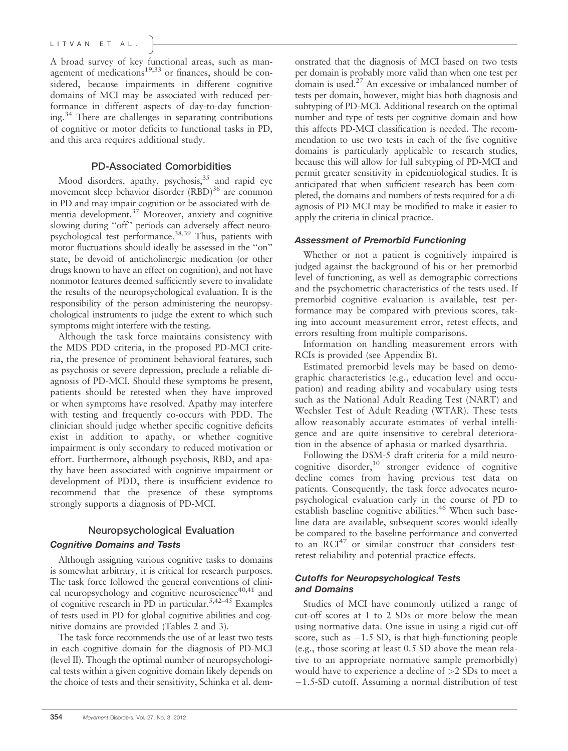A broad survey of key functional areas, such as management of medications<sup>19,33</sup> or finances, should be considered, because impairments in different cognitive domains of MCI may be associated with reduced performance in different aspects of day-to-day functioning.34 There are challenges in separating contributions of cognitive or motor deficits to functional tasks in PD, and this area requires additional study.

## PD-Associated Comorbidities

Mood disorders, apathy, psychosis, $35$  and rapid eye movement sleep behavior disorder (RBD)<sup>36</sup> are common in PD and may impair cognition or be associated with dementia development.37 Moreover, anxiety and cognitive slowing during "off" periods can adversely affect neuropsychological test performance.<sup>38,39</sup> Thus, patients with motor fluctuations should ideally be assessed in the ''on'' state, be devoid of anticholinergic medication (or other drugs known to have an effect on cognition), and not have nonmotor features deemed sufficiently severe to invalidate the results of the neuropsychological evaluation. It is the responsibility of the person administering the neuropsychological instruments to judge the extent to which such symptoms might interfere with the testing.

Although the task force maintains consistency with the MDS PDD criteria, in the proposed PD-MCI criteria, the presence of prominent behavioral features, such as psychosis or severe depression, preclude a reliable diagnosis of PD-MCI. Should these symptoms be present, patients should be retested when they have improved or when symptoms have resolved. Apathy may interfere with testing and frequently co-occurs with PDD. The clinician should judge whether specific cognitive deficits exist in addition to apathy, or whether cognitive impairment is only secondary to reduced motivation or effort. Furthermore, although psychosis, RBD, and apathy have been associated with cognitive impairment or development of PDD, there is insufficient evidence to recommend that the presence of these symptoms strongly supports a diagnosis of PD-MCI.

## Neuropsychological Evaluation Cognitive Domains and Tests

Although assigning various cognitive tasks to domains is somewhat arbitrary, it is critical for research purposes. The task force followed the general conventions of clinical neuropsychology and cognitive neuroscience $40,41$  and of cognitive research in PD in particular.<sup>5,42–45</sup> Examples of tests used in PD for global cognitive abilities and cognitive domains are provided (Tables 2 and 3).

The task force recommends the use of at least two tests in each cognitive domain for the diagnosis of PD-MCI (level II). Though the optimal number of neuropsychological tests within a given cognitive domain likely depends on the choice of tests and their sensitivity, Schinka et al. demonstrated that the diagnosis of MCI based on two tests per domain is probably more valid than when one test per domain is used.27 An excessive or imbalanced number of tests per domain, however, might bias both diagnosis and subtyping of PD-MCI. Additional research on the optimal number and type of tests per cognitive domain and how this affects PD-MCI classification is needed. The recommendation to use two tests in each of the five cognitive domains is particularly applicable to research studies, because this will allow for full subtyping of PD-MCI and permit greater sensitivity in epidemiological studies. It is anticipated that when sufficient research has been completed, the domains and numbers of tests required for a diagnosis of PD-MCI may be modified to make it easier to apply the criteria in clinical practice.

## Assessment of Premorbid Functioning

Whether or not a patient is cognitively impaired is judged against the background of his or her premorbid level of functioning, as well as demographic corrections and the psychometric characteristics of the tests used. If premorbid cognitive evaluation is available, test performance may be compared with previous scores, taking into account measurement error, retest effects, and errors resulting from multiple comparisons.

Information on handling measurement errors with RCIs is provided (see Appendix B).

Estimated premorbid levels may be based on demographic characteristics (e.g., education level and occupation) and reading ability and vocabulary using tests such as the National Adult Reading Test (NART) and Wechsler Test of Adult Reading (WTAR). These tests allow reasonably accurate estimates of verbal intelligence and are quite insensitive to cerebral deterioration in the absence of aphasia or marked dysarthria.

Following the DSM-5 draft criteria for a mild neurocognitive disorder,<sup>10</sup> stronger evidence of cognitive decline comes from having previous test data on patients. Consequently, the task force advocates neuropsychological evaluation early in the course of PD to establish baseline cognitive abilities.<sup>46</sup> When such baseline data are available, subsequent scores would ideally be compared to the baseline performance and converted to an  $\mathrm{RCI}^{47}$  or similar construct that considers testretest reliability and potential practice effects.

## Cutoffs for Neuropsychological Tests and Domains

Studies of MCI have commonly utilized a range of cut-off scores at 1 to 2 SDs or more below the mean using normative data. One issue in using a rigid cut-off score, such as  $-1.5$  SD, is that high-functioning people (e.g., those scoring at least 0.5 SD above the mean relative to an appropriate normative sample premorbidly) would have to experience a decline of  $>2$  SDs to meet a -1.5-SD cutoff. Assuming a normal distribution of test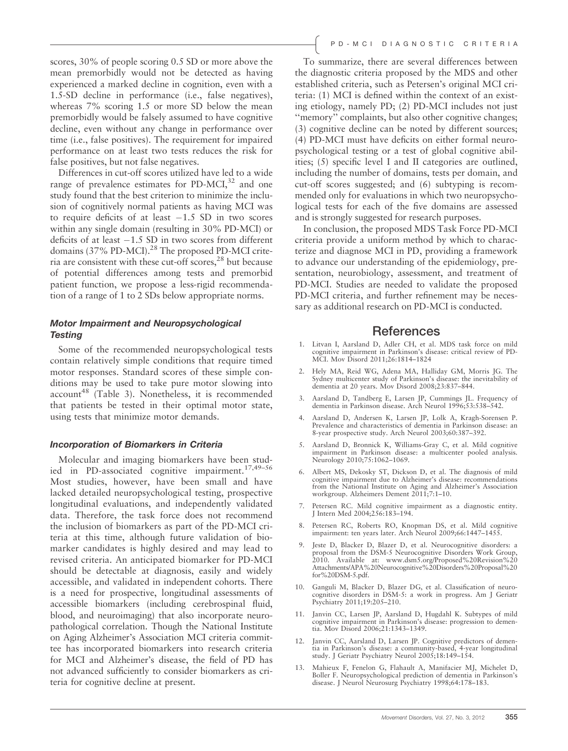scores, 30% of people scoring 0.5 SD or more above the mean premorbidly would not be detected as having experienced a marked decline in cognition, even with a 1.5-SD decline in performance (i.e., false negatives), whereas 7% scoring 1.5 or more SD below the mean premorbidly would be falsely assumed to have cognitive decline, even without any change in performance over time (i.e., false positives). The requirement for impaired performance on at least two tests reduces the risk for false positives, but not false negatives.

Differences in cut-off scores utilized have led to a wide range of prevalence estimates for PD-MCI $^{32}$  and one study found that the best criterion to minimize the inclusion of cognitively normal patients as having MCI was to require deficits of at least  $-1.5$  SD in two scores within any single domain (resulting in 30% PD-MCI) or deficits of at least  $-1.5$  SD in two scores from different domains (37% PD-MCI).<sup>28</sup> The proposed PD-MCI criteria are consistent with these cut-off scores,<sup>28</sup> but because of potential differences among tests and premorbid patient function, we propose a less-rigid recommendation of a range of 1 to 2 SDs below appropriate norms.

## Motor Impairment and Neuropsychological Testing

Some of the recommended neuropsychological tests contain relatively simple conditions that require timed motor responses. Standard scores of these simple conditions may be used to take pure motor slowing into account<sup>48</sup> (Table 3). Nonetheless, it is recommended that patients be tested in their optimal motor state, using tests that minimize motor demands.

#### Incorporation of Biomarkers in Criteria

Molecular and imaging biomarkers have been studied in PD-associated cognitive impairment.17,49–56 Most studies, however, have been small and have lacked detailed neuropsychological testing, prospective longitudinal evaluations, and independently validated data. Therefore, the task force does not recommend the inclusion of biomarkers as part of the PD-MCI criteria at this time, although future validation of biomarker candidates is highly desired and may lead to revised criteria. An anticipated biomarker for PD-MCI should be detectable at diagnosis, easily and widely accessible, and validated in independent cohorts. There is a need for prospective, longitudinal assessments of accessible biomarkers (including cerebrospinal fluid, blood, and neuroimaging) that also incorporate neuropathological correlation. Though the National Institute on Aging Alzheimer's Association MCI criteria committee has incorporated biomarkers into research criteria for MCI and Alzheimer's disease, the field of PD has not advanced sufficiently to consider biomarkers as criteria for cognitive decline at present.

To summarize, there are several differences between the diagnostic criteria proposed by the MDS and other established criteria, such as Petersen's original MCI criteria: (1) MCI is defined within the context of an existing etiology, namely PD; (2) PD-MCI includes not just "memory" complaints, but also other cognitive changes; (3) cognitive decline can be noted by different sources; (4) PD-MCI must have deficits on either formal neuropsychological testing or a test of global cognitive abilities; (5) specific level I and II categories are outlined, including the number of domains, tests per domain, and cut-off scores suggested; and (6) subtyping is recommended only for evaluations in which two neuropsychological tests for each of the five domains are assessed and is strongly suggested for research purposes.

In conclusion, the proposed MDS Task Force PD-MCI criteria provide a uniform method by which to characterize and diagnose MCI in PD, providing a framework to advance our understanding of the epidemiology, presentation, neurobiology, assessment, and treatment of PD-MCI. Studies are needed to validate the proposed PD-MCI criteria, and further refinement may be necessary as additional research on PD-MCI is conducted.

## References

- 1. Litvan I, Aarsland D, Adler CH, et al. MDS task force on mild cognitive impairment in Parkinson's disease: critical review of PD-MCI. Mov Disord 2011;26:1814–1824
- 2. Hely MA, Reid WG, Adena MA, Halliday GM, Morris JG. The Sydney multicenter study of Parkinson's disease: the inevitability of dementia at 20 years. Mov Disord 2008;23:837–844.
- 3. Aarsland D, Tandberg E, Larsen JP, Cummings JL. Frequency of dementia in Parkinson disease. Arch Neurol 1996;53:538–542.
- 4. Aarsland D, Andersen K, Larsen JP, Lolk A, Kragh-Sorensen P. Prevalence and characteristics of dementia in Parkinson disease: an 8-year prospective study. Arch Neurol 2003;60:387–392.
- 5. Aarsland D, Bronnick K, Williams-Gray C, et al. Mild cognitive impairment in Parkinson disease: a multicenter pooled analysis. Neurology 2010;75:1062–1069.
- 6. Albert MS, Dekosky ST, Dickson D, et al. The diagnosis of mild cognitive impairment due to Alzheimer's disease: recommendations from the National Institute on Aging and Alzheimer's Association workgroup. Alzheimers Dement 2011;7:1–10.
- Petersen RC. Mild cognitive impairment as a diagnostic entity. J Intern Med 2004;256:183–194.
- 8. Petersen RC, Roberts RO, Knopman DS, et al. Mild cognitive impairment: ten years later. Arch Neurol 2009;66:1447–1455.
- Jeste D, Blacker D, Blazer D, et al. Neurocognitive disorders: a proposal from the DSM-5 Neurocognitive Disorders Work Group, 2010. Available at: www.dsm5.org/Proposed%20Revision%20 Attachments/APA%20Neurocognitive%20Disorders%20Proposal%20 for%20DSM-5.pdf.
- 10. Ganguli M, Blacker D, Blazer DG, et al. Classification of neurocognitive disorders in DSM-5: a work in progress. Am J Geriatr Psychiatry 2011;19:205–210.
- 11. Janvin CC, Larsen JP, Aarsland D, Hugdahl K. Subtypes of mild cognitive impairment in Parkinson's disease: progression to dementia. Mov Disord 2006;21:1343–1349.
- 12. Janvin CC, Aarsland D, Larsen JP. Cognitive predictors of dementia in Parkinson's disease: a community-based, 4-year longitudinal study. J Geriatr Psychiatry Neurol 2005;18:149–154.
- 13. Mahieux F, Fenelon G, Flahault A, Manifacier MJ, Michelet D, Boller F. Neuropsychological prediction of dementia in Parkinson's disease. J Neurol Neurosurg Psychiatry 1998;64:178–183.